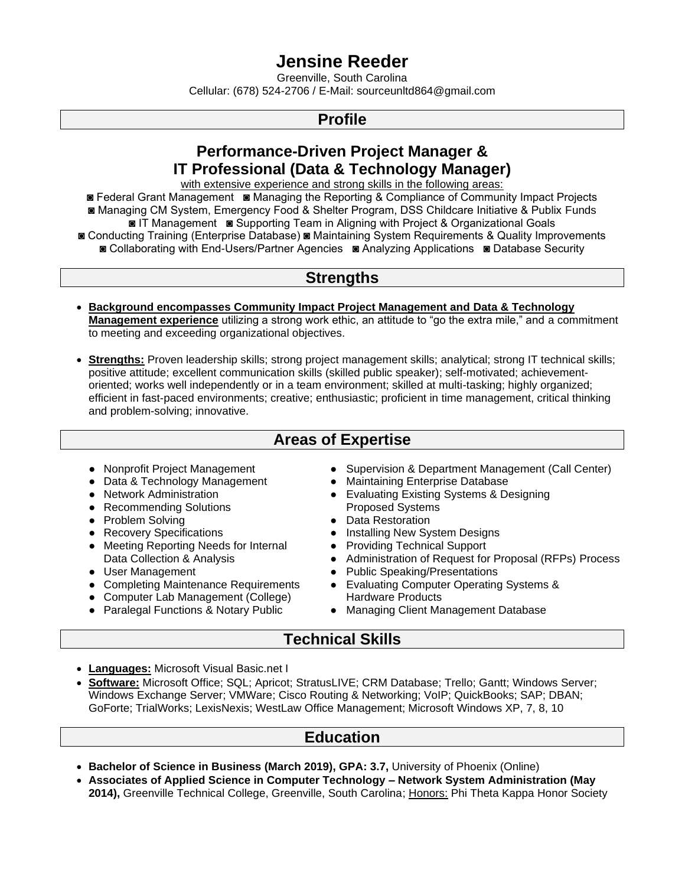# **Jensine Reeder**

Greenville, South Carolina Cellular: (678) 524-2706 / E-Mail: sourceunltd864@gmail.com

### **Profile**

### **Performance-Driven Project Manager & IT Professional (Data & Technology Manager)**

with extensive experience and strong skills in the following areas:

- ◙ Federal Grant Management ◙ Managing the Reporting & Compliance of Community Impact Projects ◙ Managing CM System, Emergency Food & Shelter Program, DSS Childcare Initiative & Publix Funds ◙ IT Management ◙ Supporting Team in Aligning with Project & Organizational Goals
- ◙ Conducting Training (Enterprise Database) ◙ Maintaining System Requirements & Quality Improvements ◙ Collaborating with End-Users/Partner Agencies ◙ Analyzing Applications ◙ Database Security

### **Strengths**

- **Background encompasses Community Impact Project Management and Data & Technology Management experience** utilizing a strong work ethic, an attitude to "go the extra mile," and a commitment to meeting and exceeding organizational objectives.
- **Strengths:** Proven leadership skills; strong project management skills; analytical; strong IT technical skills; positive attitude; excellent communication skills (skilled public speaker); self-motivated; achievementoriented; works well independently or in a team environment; skilled at multi-tasking; highly organized; efficient in fast-paced environments; creative; enthusiastic; proficient in time management, critical thinking and problem-solving; innovative.

### **Areas of Expertise**

- 
- Data & Technology Management Maintaining Enterprise Database
- 
- Recommending Solutions Proposed Systems
- Problem Solving  **Problem Solving**  Data Restoration
- 
- Meeting Reporting Needs for Internal Providing Technical Support
- 
- Completing Maintenance Requirements Evaluating Computer Operating Systems &
- Computer Lab Management (College) Hardware Products
- 
- Nonprofit Project Management Supervision & Department Management (Call Center)
	-
- Network Administration <br>● Evaluating Existing Systems & Designing
	-
- Recovery Specifications Installing New System Designs
	-
- Data Collection & Analysis <br>
Administration of Request for Proposal (RFPs) Process<br>
Public Speaking/Presentations
	- Public Speaking/Presentations
	-
- Paralegal Functions & Notary Public Managing Client Management Database

### **Technical Skills**

- **Languages:** Microsoft Visual Basic.net I
- **Software:** Microsoft Office; SQL; Apricot; StratusLIVE; CRM Database; Trello; Gantt; Windows Server; Windows Exchange Server; VMWare; Cisco Routing & Networking; VoIP; QuickBooks; SAP; DBAN; GoForte; TrialWorks; LexisNexis; WestLaw Office Management; Microsoft Windows XP, 7, 8, 10

### **Education**

- **Bachelor of Science in Business (March 2019), GPA: 3.7,** University of Phoenix (Online)
- **Associates of Applied Science in Computer Technology – Network System Administration (May 2014),** Greenville Technical College, Greenville, South Carolina; Honors: Phi Theta Kappa Honor Society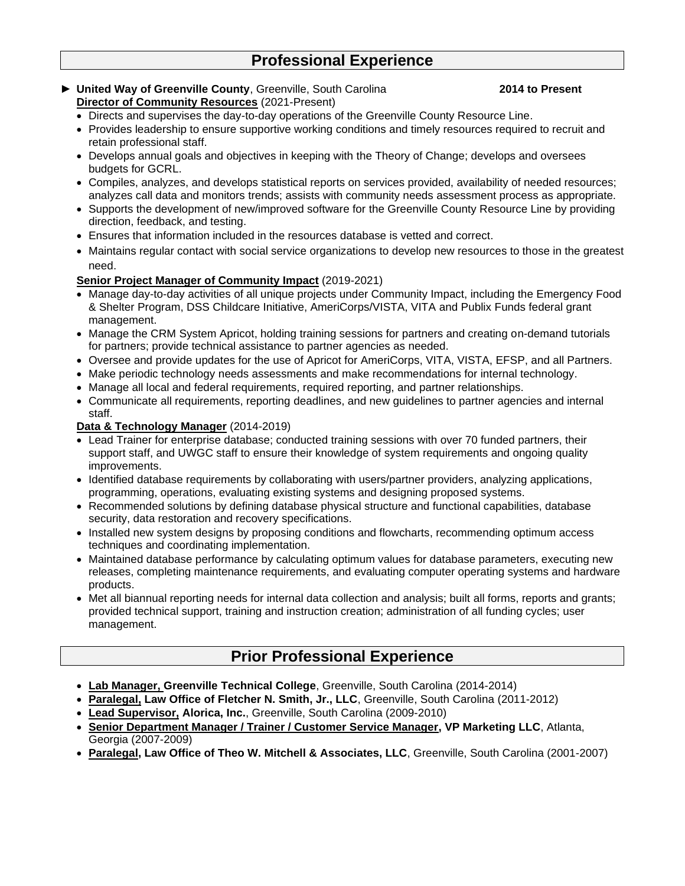## **Professional Experience**

**► United Way of Greenville County**, Greenville, South Carolina **2014 to Present Director of Community Resources** (2021-Present)

- Directs and supervises the day-to-day operations of the Greenville County Resource Line.
- Provides leadership to ensure supportive working conditions and timely resources required to recruit and retain professional staff.
- Develops annual goals and objectives in keeping with the Theory of Change; develops and oversees budgets for GCRL.
- Compiles, analyzes, and develops statistical reports on services provided, availability of needed resources; analyzes call data and monitors trends; assists with community needs assessment process as appropriate.
- Supports the development of new/improved software for the Greenville County Resource Line by providing direction, feedback, and testing.
- Ensures that information included in the resources database is vetted and correct.
- Maintains regular contact with social service organizations to develop new resources to those in the greatest need.

### **Senior Project Manager of Community Impact** (2019-2021)

- Manage day-to-day activities of all unique projects under Community Impact, including the Emergency Food & Shelter Program, DSS Childcare Initiative, AmeriCorps/VISTA, VITA and Publix Funds federal grant management.
- Manage the CRM System Apricot, holding training sessions for partners and creating on-demand tutorials for partners; provide technical assistance to partner agencies as needed.
- Oversee and provide updates for the use of Apricot for AmeriCorps, VITA, VISTA, EFSP, and all Partners.
- Make periodic technology needs assessments and make recommendations for internal technology.
- Manage all local and federal requirements, required reporting, and partner relationships.
- Communicate all requirements, reporting deadlines, and new guidelines to partner agencies and internal staff.
- **Data & Technology Manager** (2014-2019)
- Lead Trainer for enterprise database; conducted training sessions with over 70 funded partners, their support staff, and UWGC staff to ensure their knowledge of system requirements and ongoing quality improvements.
- Identified database requirements by collaborating with users/partner providers, analyzing applications, programming, operations, evaluating existing systems and designing proposed systems.
- Recommended solutions by defining database physical structure and functional capabilities, database security, data restoration and recovery specifications.
- Installed new system designs by proposing conditions and flowcharts, recommending optimum access techniques and coordinating implementation.
- Maintained database performance by calculating optimum values for database parameters, executing new releases, completing maintenance requirements, and evaluating computer operating systems and hardware products.
- Met all biannual reporting needs for internal data collection and analysis; built all forms, reports and grants; provided technical support, training and instruction creation; administration of all funding cycles; user management.

## **Prior Professional Experience**

- **Lab Manager, Greenville Technical College**, Greenville, South Carolina (2014-2014)
- **Paralegal, Law Office of Fletcher N. Smith, Jr., LLC**, Greenville, South Carolina (2011-2012)
- **Lead Supervisor, Alorica, Inc.**, Greenville, South Carolina (2009-2010)
- **Senior Department Manager / Trainer / Customer Service Manager, VP Marketing LLC**, Atlanta, Georgia (2007-2009)
- **Paralegal, Law Office of Theo W. Mitchell & Associates, LLC**, Greenville, South Carolina (2001-2007)